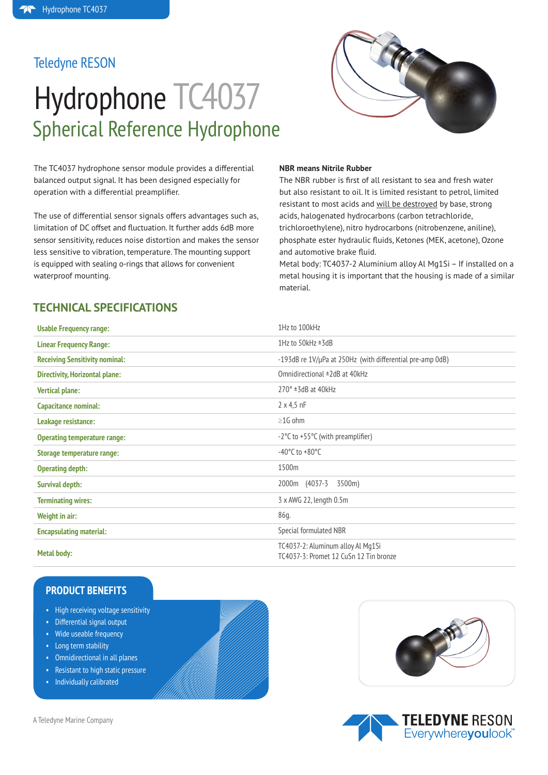### Teledyne RESON

# Hydrophone TC4037 Spherical Reference Hydrophone



The TC4037 hydrophone sensor module provides a differential balanced output signal. It has been designed especially for operation with a differential preamplifier.

The use of differential sensor signals offers advantages such as, limitation of DC offset and fluctuation. It further adds 6dB more sensor sensitivity, reduces noise distortion and makes the sensor less sensitive to vibration, temperature. The mounting support is equipped with sealing o-rings that allows for convenient waterproof mounting.

#### **NBR means Nitrile Rubber**

The NBR rubber is first of all resistant to sea and fresh water but also resistant to oil. It is limited resistant to petrol, limited resistant to most acids and will be destroyed by base, strong acids, halogenated hydrocarbons (carbon tetrachloride, trichloroethylene), nitro hydrocarbons (nitrobenzene, aniline), phosphate ester hydraulic fluids, Ketones (MEK, acetone), Ozone and automotive brake fluid.

Metal body: TC4037-2 Aluminium alloy Al Mg1Si – If installed on a metal housing it is important that the housing is made of a similar material.

### **TECHNICAL SPECIFICATIONS**

| <b>Usable Frequency range:</b>        | 1Hz to 100kHz                                                               |
|---------------------------------------|-----------------------------------------------------------------------------|
| <b>Linear Frequency Range:</b>        | 1Hz to $50kHz \pm 3dB$                                                      |
| <b>Receiving Sensitivity nominal:</b> | -193dB re 1V/µPa at 250Hz (with differential pre-amp 0dB)                   |
| <b>Directivity, Horizontal plane:</b> | Omnidirectional ±2dB at 40kHz                                               |
| <b>Vertical plane:</b>                | $270^\circ$ ±3dB at 40kHz                                                   |
| <b>Capacitance nominal:</b>           | $2 \times 4, 5 \text{ nF}$                                                  |
| Leakage resistance:                   | $\geq$ 1G ohm                                                               |
| <b>Operating temperature range:</b>   | $-2$ °C to $+55$ °C (with preamplifier)                                     |
| Storage temperature range:            | $-40^{\circ}$ C to $+80^{\circ}$ C                                          |
| <b>Operating depth:</b>               | 1500m                                                                       |
| <b>Survival depth:</b>                | 2000m (4037-3)<br>3500m)                                                    |
| <b>Terminating wires:</b>             | 3 x AWG 22, length 0.5m                                                     |
| Weight in air:                        | 86g.                                                                        |
| <b>Encapsulating material:</b>        | Special formulated NBR                                                      |
| <b>Metal body:</b>                    | TC4037-2: Aluminum alloy Al Mq1Si<br>TC4037-3: Promet 12 CuSn 12 Tin bronze |

### **PRODUCT BENEFITS**

- High receiving voltage sensitivity
- • Differential signal output
- Wide useable frequency
- Long term stability
- • Omnidirectional in all planes
- • Resistant to high static pressure
- **Individually calibrated**



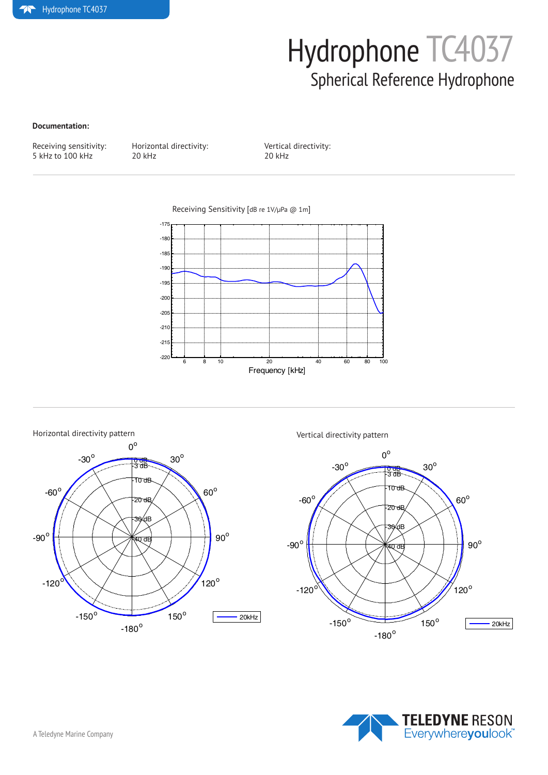## Hydrophone TC4037 Spherical Reference Hydrophone

#### **Documentation:**

Receiving sensitivity: Horizontal directivity: Vertical directivity:<br>
5 kHz to 100 kHz 20 kHz 20 kHz 20 kHz  $5$  kHz to  $100$  kHz

Receiving Sensitivity [dB re 1V/µPa @ 1m]